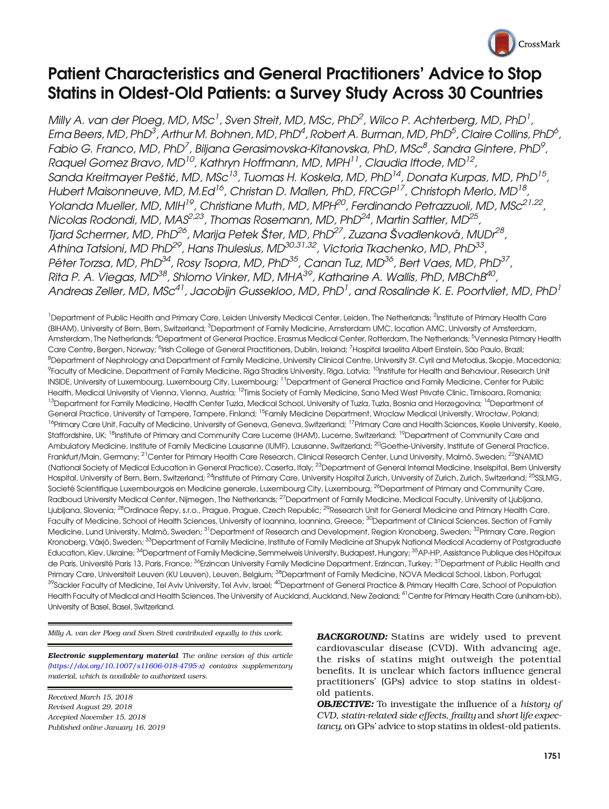

# Patient Characteristics and General Practitioners' Advice to Stop Statins in Oldest-Old Patients: a Survey Study Across 30 Countries

Milly A. van der Ploeg, MD, MSc<sup>1</sup>, Sven Streit, MD, MSc, PhD<sup>2</sup>, Wilco P. Achterberg, MD, PhD<sup>1</sup>, Erna Beers, MD, PhD $^3$ , Arthur M. Bohnen, MD, PhD $^4$ , Robert A. Burman, MD, PhD $^5$ , Claire Collins, PhD $^6$ , Fabio G. Franco, MD, PhD<sup>7</sup>, Biljana Gerasimovska-Kitanovska, PhD, MSc $^{\beta}$ , Sandra Gintere, PhD $^{\circ}$ , Raquel Gomez Bravo, MD<sup>10</sup>, Kathryn Hoffmann, MD, MPH<sup>11</sup>, Claudia Iftode, MD<sup>12</sup>, Sanda Kreitmayer Peštić, MD, MSc<sup>13</sup>, Tuomas H. Koskela, MD, PhD<sup>14</sup>, Donata Kurpas, MD, PhD<sup>15</sup>, Hubert Maisonneuve, MD, M.Ed<sup>16</sup>, Christan D. Mallen, PhD, FRCGP<sup>17</sup>, Christoph Merlo, MD<sup>18</sup>, Yolanda Mueller, MD, MIH<sup>19</sup>, Christiane Muth, MD, MPH<sup>20</sup>, Ferdinando Petrazzuoli, MD, MSc<sup>21,22</sup>, Nicolas Rodondi, MD, MAS<sup>2,23</sup>, Thomas Rosemann, MD, PhD<sup>24</sup>, Martin Sattler, MD<sup>25</sup>, Tjard Schermer, MD, PhD<sup>26</sup>, Marija Petek Šter, MD, PhD<sup>27</sup>, Zuzana Švadlenková, MUDr<sup>28</sup>, Athina Tatsioni, MD PhD<sup>29</sup>, Hans Thulesius, MD $^{30,31,32}$ , Victoria Tkachenko, MD, PhD $^{33}$ , Péter Torzsa, MD, PhD<sup>34</sup>, Rosy Tsopra, MD, PhD<sup>35</sup>, Canan Tuz, MD<sup>36</sup>, Bert Vaes, MD, PhD<sup>37</sup>, Rita P. A. Viegas, MD<sup>38</sup>, Shlomo Vinker, MD, MHA<sup>39</sup>, Katharine A. Wallis, PhD, MBChB<sup>40</sup>, Andreas Zeller, MD, MSc $^{41}$ , Jacobijn Gussekloo, MD, PhD $^{\rm l}$ , and Rosalinde K. E. Poortvliet, MD, PhD $^{\rm l}$ 

<sup>1</sup>Department of Public Health and Primary Care, Leiden University Medical Center, Leiden, The Netherlands; <sup>2</sup>Institute of Primary Health Care (BIHAM), University of Bern, Bern, Switzerland; <sup>3</sup>Department of Family Medicine, Amsterdam UMC, location AMC, University of Amsterdam, Amsterdam, The Netherlands; <sup>4</sup>Department of General Practice, Erasmus Medical Center, Rotterdam, The Netherlands; <sup>5</sup>Vennesla Primary Health Care Centre, Bergen, Norway; <sup>6</sup>lrish College of General Practitioners, Dublin, Ireland; <sup>7</sup>Hospital Israelita Albert Einstein, São Paulo, Brazil; <sup>8</sup>Department of Nephrology and Department of Family Medicine, University Clinical Centre, University St. Cyril and Metodius, Skopje, Macedonia; <sup>9</sup>Faculty of Medicine, Department of Family Medicine, Riga Stradiņs University, Riga, Latvia; <sup>10</sup>Institute for Health and Behaviour, Research Unit INSIDE, University of Luxembourg, Luxembourg City, Luxembourg; <sup>11</sup>Department of General Practice and Family Medicine, Center for Public Health, Medical University of Vienna, Vienna, Austria; 12Timis Society of Family Medicine, Sano Med West Private Clinic, Timisoara, Romania; <sup>13</sup>Department for Family Medicine, Health Center Tuzla, Medical School, University of Tuzla, Tuzla, Bosnia and Herzegovina; <sup>14</sup>Department of General Practice, University of Tampere, Tampere, Finland; <sup>15</sup>Family Medicine Department, Wroclaw Medical University, Wrocław, Poland; <sup>16</sup>Primary Care Unit, Faculty of Medicine, University of Geneva, Geneva, Switzerland; <sup>17</sup>Primary Care and Health Sciences, Keele University, Keele, Staffordshire, UK; <sup>18</sup>Institute of Primary and Community Care Lucerne (IHAM), Lucerne, Switzerland; <sup>19</sup>Department of Community Care and Ambulatory Medicine, Institute of Family Medicine Lausanne (IUMF), Lausanne, Switzerland; <sup>20</sup>Goethe-University, Institute of General Practice, Frankfurt/Main, Germany; <sup>21</sup>Center for Primary Health Care Research, Clinical Research Center, Lund University, Malmö, Sweden; <sup>22</sup>SNAMID (National Society of Medical Education in General Practice), Caserta, Italy; <sup>23</sup>Department of General Internal Medicine, Inselspital, Bern University Hospital, University of Bern, Bern, Switzerland; <sup>24</sup>Institute of Primary Care, University Hospital Zurich, University of Zurich, Zurich, Switzerland; <sup>25</sup>SSLMG, Societé Scientifique Luxembourgois en Medicine generale, Luxembourg City, Luxembourg; <sup>26</sup>Department of Primary and Community Care, Radboud University Medical Center, Nijmegen, The Netherlands; <sup>27</sup>Department of Family Medicine, Medical Faculty, University of Liubliana. Ljubljana, Slovenia; <sup>28</sup>Ordinace Řepy, s.r.o., Prague, Prague, Czech Republic; <sup>29</sup>Research Unit for General Medicine and Primary Health Care. Faculty of Medicine, School of Health Sciences, University of Ioannina, Ioannina, Greece; <sup>30</sup>Department of Clinical Sciences, Section of Family Medicine, Lund University, Malmö, Sweden; <sup>31</sup>Department of Research and Development, Region Kronoberg, Sweden; <sup>32</sup>Primary Care, Region Kronoberg, Växjö, Sweden; <sup>33</sup>Department of Family Medicine, Institute of Family Medicine at Shupyk National Medical Academy of Postgraduate Education, Kiev, Ukraine; <sup>34</sup>Department of Family Medicine, Semmelweis University, Budapest, Hungary; <sup>35</sup>AP-HP, Assistance Publique des Hôpitaux de Paris, Université Paris 13, Paris, France; <sup>36</sup>Erzincan University Family Medicine Department, Erzincan, Turkey; <sup>37</sup>Department of Public Health and Primary Care, Universiteit Leuven (KU Leuven), Leuven, Belgium; <sup>38</sup>Department of Family Medicine, NOVA Medical School, Lisbon, Portugal; <sup>39</sup>Sackler Faculty of Medicine, Tel Aviv University, Tel Aviv, Israel; <sup>40</sup>Department of General Practice & Primary Health Care, School of Population Health Faculty of Medical and Health Sciences, The University of Auckland, Auckland, New Zealand; <sup>41</sup> Centre for Primary Health Care (uniham-bb), University of Basel, Basel, Switzerland.

Milly A. van der Ploeg and Sven Streit contributed equally to this work.

Electronic supplementary material The online version of this article  $(\text{https://doi.org/10.1007/s11606-018-4795-x})$  $(\text{https://doi.org/10.1007/s11606-018-4795-x})$  $(\text{https://doi.org/10.1007/s11606-018-4795-x})$  contains supplementary material, which is available to authorized users.

Received March 15, 2018 Revised August 29, 2018 Accepted November 15, 2018 Published online January 16, 2019 **BACKGROUND:** Statins are widely used to prevent cardiovascular disease (CVD). With advancing age, the risks of statins might outweigh the potential benefits. It is unclear which factors influence general practitioners' (GPs) advice to stop statins in oldestold patients.

**OBJECTIVE:** To investigate the influence of a history of CVD, statin-related side effects, frailty and short life expectancy, on GPs' advice to stop statins in oldest-old patients.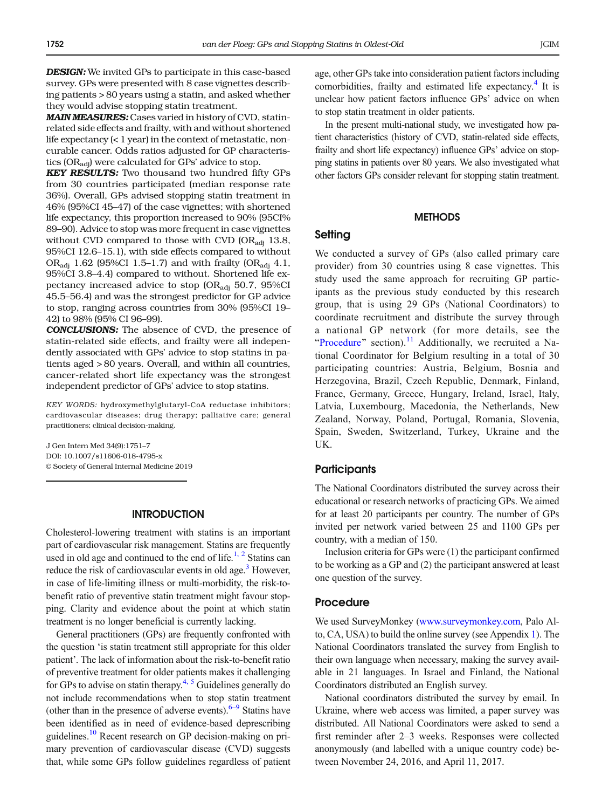DESIGN: We invited GPs to participate in this case-based survey. GPs were presented with 8 case vignettes describing patients > 80 years using a statin, and asked whether they would advise stopping statin treatment.

MAIN MEASURES: Cases varied in history of CVD, statinrelated side effects and frailty, with and without shortened life expectancy (< 1 year) in the context of metastatic, noncurable cancer. Odds ratios adjusted for GP characteristics (ORadj) were calculated for GPs' advice to stop.

KEY RESULTS: Two thousand two hundred fifty GPs from 30 countries participated (median response rate 36%). Overall, GPs advised stopping statin treatment in 46% (95%CI 45–47) of the case vignettes; with shortened life expectancy, this proportion increased to 90% (95CI% 89–90). Advice to stop was more frequent in case vignettes without CVD compared to those with CVD  $(OR_{\text{adi}} 13.8,$ 95%CI 12.6–15.1), with side effects compared to without OR<sub>adi</sub> 1.62 (95%CI 1.5–1.7) and with frailty (OR<sub>adi</sub> 4.1, 95%CI 3.8–4.4) compared to without. Shortened life expectancy increased advice to stop  $(OR_{\text{adi}} 50.7, 95\%CI$ 45.5–56.4) and was the strongest predictor for GP advice to stop, ranging across countries from 30% (95%CI 19– 42) to 98% (95% CI 96–99).

CONCLUSIONS: The absence of CVD, the presence of statin-related side effects, and frailty were all independently associated with GPs' advice to stop statins in patients aged > 80 years. Overall, and within all countries, cancer-related short life expectancy was the strongest independent predictor of GPs' advice to stop statins.

KEY WORDS: hydroxymethylglutaryl-CoA reductase inhibitors; cardiovascular diseases; drug therapy; palliative care; general practitioners; clinical decision-making.

J Gen Intern Med 34(9):1751–7 DOI: 10.1007/s11606-018-4795-x © Society of General Internal Medicine 2019

### **INTRODUCTION**

Cholesterol-lowering treatment with statins is an important part of cardiovascular risk management. Statins are frequently used in old age and continued to the end of life.<sup>1, 2</sup> Statins can reduce the risk of cardiovascular events in old age.<sup>3</sup> However, in case of life-limiting illness or multi-morbidity, the risk-tobenefit ratio of preventive statin treatment might favour stopping. Clarity and evidence about the point at which statin treatment is no longer beneficial is currently lacking.

General practitioners (GPs) are frequently confronted with the question 'is statin treatment still appropriate for this older patient'. The lack of information about the risk-to-benefit ratio of preventive treatment for older patients makes it challenging for GPs to advise on statin therapy.<sup>[4](#page-6-0), [5](#page-6-0)</sup> Guidelines generally do not include recommendations when to stop statin treatment (other than in the presence of adverse events). $6-9$  $6-9$  Statins have been identified as in need of evidence-based deprescribing guidelines[.10](#page-6-0) Recent research on GP decision-making on primary prevention of cardiovascular disease (CVD) suggests that, while some GPs follow guidelines regardless of patient age, other GPs take into consideration patient factors including comorbidities, frailty and estimated life expectancy.<sup>[4](#page-6-0)</sup> It is unclear how patient factors influence GPs' advice on when to stop statin treatment in older patients.

In the present multi-national study, we investigated how patient characteristics (history of CVD, statin-related side effects, frailty and short life expectancy) influence GPs' advice on stopping statins in patients over 80 years. We also investigated what other factors GPs consider relevant for stopping statin treatment.

#### **METHODS**

# **Setting**

We conducted a survey of GPs (also called primary care provider) from 30 countries using 8 case vignettes. This study used the same approach for recruiting GP participants as the previous study conducted by this research group, that is using 29 GPs (National Coordinators) to coordinate recruitment and distribute the survey through a national GP network (for more details, see the "Procedure" section).<sup>[11](#page-6-0)</sup> Additionally, we recruited a National Coordinator for Belgium resulting in a total of 30 participating countries: Austria, Belgium, Bosnia and Herzegovina, Brazil, Czech Republic, Denmark, Finland, France, Germany, Greece, Hungary, Ireland, Israel, Italy, Latvia, Luxembourg, Macedonia, the Netherlands, New Zealand, Norway, Poland, Portugal, Romania, Slovenia, Spain, Sweden, Switzerland, Turkey, Ukraine and the UK.

## **Participants**

The National Coordinators distributed the survey across their educational or research networks of practicing GPs. We aimed for at least 20 participants per country. The number of GPs invited per network varied between 25 and 1100 GPs per country, with a median of 150.

Inclusion criteria for GPs were (1) the participant confirmed to be working as a GP and (2) the participant answered at least one question of the survey.

#### Procedure

We used SurveyMonkey [\(www.surveymonkey.com](http://www.surveymonkey.com), Palo Alto, CA, USA) to build the online survey (see Appendix 1). The National Coordinators translated the survey from English to their own language when necessary, making the survey available in 21 languages. In Israel and Finland, the National Coordinators distributed an English survey.

National coordinators distributed the survey by email. In Ukraine, where web access was limited, a paper survey was distributed. All National Coordinators were asked to send a first reminder after 2–3 weeks. Responses were collected anonymously (and labelled with a unique country code) between November 24, 2016, and April 11, 2017.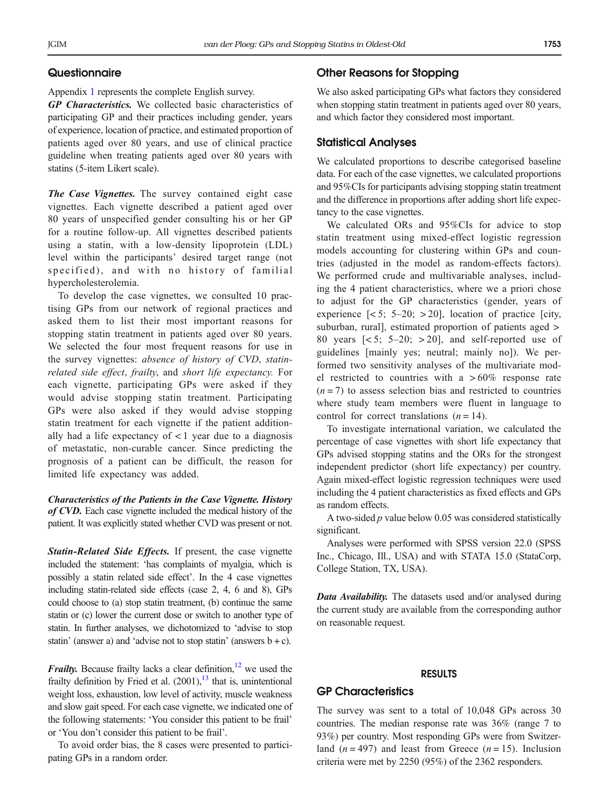Appendix 1 represents the complete English survey.

GP Characteristics. We collected basic characteristics of participating GP and their practices including gender, years of experience, location of practice, and estimated proportion of patients aged over 80 years, and use of clinical practice guideline when treating patients aged over 80 years with statins (5-item Likert scale).

The Case Vignettes. The survey contained eight case vignettes. Each vignette described a patient aged over 80 years of unspecified gender consulting his or her GP for a routine follow-up. All vignettes described patients using a statin, with a low-density lipoprotein (LDL) level within the participants' desired target range (not specified), and with no history of familial hypercholesterolemia.

To develop the case vignettes, we consulted 10 practising GPs from our network of regional practices and asked them to list their most important reasons for stopping statin treatment in patients aged over 80 years. We selected the four most frequent reasons for use in the survey vignettes: absence of history of CVD, statinrelated side effect, frailty, and short life expectancy. For each vignette, participating GPs were asked if they would advise stopping statin treatment. Participating GPs were also asked if they would advise stopping statin treatment for each vignette if the patient additionally had a life expectancy of  $\lt 1$  year due to a diagnosis of metastatic, non-curable cancer. Since predicting the prognosis of a patient can be difficult, the reason for limited life expectancy was added.

Characteristics of the Patients in the Case Vignette. History of CVD. Each case vignette included the medical history of the patient. It was explicitly stated whether CVD was present or not.

Statin-Related Side Effects. If present, the case vignette included the statement: 'has complaints of myalgia, which is possibly a statin related side effect'. In the 4 case vignettes including statin-related side effects (case 2, 4, 6 and 8), GPs could choose to (a) stop statin treatment, (b) continue the same statin or (c) lower the current dose or switch to another type of statin. In further analyses, we dichotomized to 'advise to stop statin' (answer a) and 'advise not to stop statin' (answers  $b + c$ ).

**Frailty.** Because frailty lacks a clear definition,  $\frac{12}{12}$  we used the frailty definition by Fried et al.  $(2001)$ , <sup>13</sup> that is, unintentional weight loss, exhaustion, low level of activity, muscle weakness and slow gait speed. For each case vignette, we indicated one of the following statements: 'You consider this patient to be frail' or 'You don't consider this patient to be frail'.

To avoid order bias, the 8 cases were presented to participating GPs in a random order.

## Other Reasons for Stopping

We also asked participating GPs what factors they considered when stopping statin treatment in patients aged over 80 years, and which factor they considered most important.

#### Statistical Analyses

We calculated proportions to describe categorised baseline data. For each of the case vignettes, we calculated proportions and 95%CIs for participants advising stopping statin treatment and the difference in proportions after adding short life expectancy to the case vignettes.

We calculated ORs and 95%CIs for advice to stop statin treatment using mixed-effect logistic regression models accounting for clustering within GPs and countries (adjusted in the model as random-effects factors). We performed crude and multivariable analyses, including the 4 patient characteristics, where we a priori chose to adjust for the GP characteristics (gender, years of experience  $\lceil 5; 5-20; 20 \rceil$ , location of practice  $\lceil 0; 1 \rceil$ suburban, rural], estimated proportion of patients aged > 80 years  $\left[ \langle 5; 5-20; 0 \rangle \right]$ , and self-reported use of guidelines [mainly yes; neutral; mainly no]). We performed two sensitivity analyses of the multivariate model restricted to countries with a  $>60\%$  response rate  $(n=7)$  to assess selection bias and restricted to countries where study team members were fluent in language to control for correct translations  $(n = 14)$ .

To investigate international variation, we calculated the percentage of case vignettes with short life expectancy that GPs advised stopping statins and the ORs for the strongest independent predictor (short life expectancy) per country. Again mixed-effect logistic regression techniques were used including the 4 patient characteristics as fixed effects and GPs as random effects.

A two-sided  $p$  value below 0.05 was considered statistically significant.

Analyses were performed with SPSS version 22.0 (SPSS Inc., Chicago, Ill., USA) and with STATA 15.0 (StataCorp, College Station, TX, USA).

Data Availability. The datasets used and/or analysed during the current study are available from the corresponding author on reasonable request.

## RESULTS

# GP Characteristics

The survey was sent to a total of 10,048 GPs across 30 countries. The median response rate was 36% (range 7 to 93%) per country. Most responding GPs were from Switzerland  $(n = 497)$  and least from Greece  $(n = 15)$ . Inclusion criteria were met by 2250 (95%) of the 2362 responders.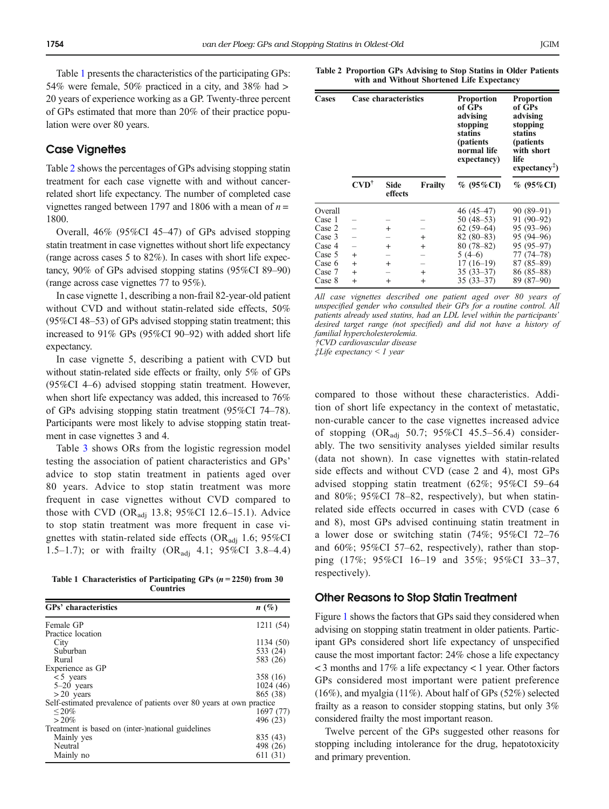Table 1 presents the characteristics of the participating GPs: 54% were female, 50% practiced in a city, and 38% had > 20 years of experience working as a GP. Twenty-three percent of GPs estimated that more than 20% of their practice population were over 80 years.

# **Case Vignettes**

Table 2 shows the percentages of GPs advising stopping statin treatment for each case vignette with and without cancerrelated short life expectancy. The number of completed case vignettes ranged between 1797 and 1806 with a mean of  $n =$ 1800.

Overall, 46% (95%CI 45–47) of GPs advised stopping statin treatment in case vignettes without short life expectancy (range across cases 5 to 82%). In cases with short life expectancy, 90% of GPs advised stopping statins (95%CI 89–90) (range across case vignettes 77 to 95%).

In case vignette 1, describing a non-frail 82-year-old patient without CVD and without statin-related side effects, 50% (95%CI 48–53) of GPs advised stopping statin treatment; this increased to 91% GPs (95%CI 90–92) with added short life expectancy.

In case vignette 5, describing a patient with CVD but without statin-related side effects or frailty, only 5% of GPs (95%CI 4–6) advised stopping statin treatment. However, when short life expectancy was added, this increased to 76% of GPs advising stopping statin treatment (95%CI 74–78). Participants were most likely to advise stopping statin treatment in case vignettes 3 and 4.

Table [3](#page-4-0) shows ORs from the logistic regression model testing the association of patient characteristics and GPs' advice to stop statin treatment in patients aged over 80 years. Advice to stop statin treatment was more frequent in case vignettes without CVD compared to those with CVD (OR<sub>adj</sub> 13.8; 95%CI 12.6-15.1). Advice to stop statin treatment was more frequent in case vignettes with statin-related side effects (OR<sub>adi</sub> 1.6; 95%CI 1.5–1.7); or with frailty  $(OR_{\text{adj}} 4.1; 95\% \text{CI} 3.8-4.4)$ 

Table 1 Characteristics of Participating GPs ( $n = 2250$ ) from 30 Countries

| GPs' characteristics                                                | $n(\%)$   |
|---------------------------------------------------------------------|-----------|
| Female GP                                                           | 1211 (54) |
| Practice location                                                   |           |
| City                                                                | 1134 (50) |
| Suburban                                                            | 533 (24)  |
| Rural                                                               | 583 (26)  |
| Experience as GP                                                    |           |
| $< 5$ years                                                         | 358 (16)  |
| $5-20$ years                                                        | 1024 (46) |
| $>20$ years                                                         | 865 (38)  |
| Self-estimated prevalence of patients over 80 years at own practice |           |
| ${}_{\leq} 20\%$                                                    | 1697 (77) |
| $> 20\%$                                                            | 496 (23)  |
| Treatment is based on (inter-)national guidelines                   |           |
| Mainly yes                                                          | 835 (43)  |
| Neutral                                                             | 498 (26)  |
| Mainly no                                                           | 611 (31)  |

Table 2 Proportion GPs Advising to Stop Statins in Older Patients with and Without Shortened Life Expectancy

| Cases                                                                                   | Case characteristics                    |                                      |                                   | <b>Proportion</b><br>of GPs<br>advising<br>stopping<br>statins<br>(patients)<br>normal life<br>expectancy)                        | <b>Proportion</b><br>of GPs<br>advising<br>stopping<br>statins<br>(patients<br>with short<br>life<br>$expectancy+$ )           |  |
|-----------------------------------------------------------------------------------------|-----------------------------------------|--------------------------------------|-----------------------------------|-----------------------------------------------------------------------------------------------------------------------------------|--------------------------------------------------------------------------------------------------------------------------------|--|
|                                                                                         | $\text{CVD}^{\dagger}$                  | <b>Side</b><br>effects               | Frailty                           | % (95%CI)                                                                                                                         | % (95%CI)                                                                                                                      |  |
| Overall<br>Case 1<br>Case 2<br>Case 3<br>Case 4<br>Case 5<br>Case 6<br>Case 7<br>Case 8 | $\ddot{}$<br>$+$<br>$\ddot{}$<br>$^{+}$ | $+$<br>$^{+}$<br>$^{+}$<br>$\ddot{}$ | $+$<br>$+$<br>$^{+}$<br>$\ddot{}$ | 46 (45–47)<br>$50(48-53)$<br>$62(59-64)$<br>$82(80-83)$<br>$80(78 - 82)$<br>$5(4-6)$<br>$17(16-19)$<br>$35(33-37)$<br>$35(33-37)$ | 90 (89–91)<br>$91(90-92)$<br>95 (93–96)<br>95 (94–96)<br>95 (95-97)<br>77 (74–78)<br>$87(85 - 89)$<br>86 (85–88)<br>89 (87-90) |  |

All case vignettes described one patient aged over 80 years of unspecified gender who consulted their GPs for a routine control. All patients already used statins, had an LDL level within the participants' desired target range (not specified) and did not have a history of familial hypercholesterolemia.

†CVD cardiovascular disease

‡Life expectancy < 1 year

compared to those without these characteristics. Addition of short life expectancy in the context of metastatic, non-curable cancer to the case vignettes increased advice of stopping  $(OR_{\text{adj}} 50.7; 95\% \text{CI } 45.5-56.4)$  considerably. The two sensitivity analyses yielded similar results (data not shown). In case vignettes with statin-related side effects and without CVD (case 2 and 4), most GPs advised stopping statin treatment (62%; 95%CI 59–64 and 80%; 95%CI 78–82, respectively), but when statinrelated side effects occurred in cases with CVD (case 6 and 8), most GPs advised continuing statin treatment in a lower dose or switching statin (74%; 95%CI 72–76 and 60%; 95%CI 57–62, respectively), rather than stopping (17%; 95%CI 16–19 and 35%; 95%CI 33–37, respectively).

#### Other Reasons to Stop Statin Treatment

Figure [1](#page-4-0) shows the factors that GPs said they considered when advising on stopping statin treatment in older patients. Participant GPs considered short life expectancy of unspecified cause the most important factor: 24% chose a life expectancy < 3 months and 17% a life expectancy < 1 year. Other factors GPs considered most important were patient preference (16%), and myalgia (11%). About half of GPs (52%) selected frailty as a reason to consider stopping statins, but only 3% considered frailty the most important reason.

Twelve percent of the GPs suggested other reasons for stopping including intolerance for the drug, hepatotoxicity and primary prevention.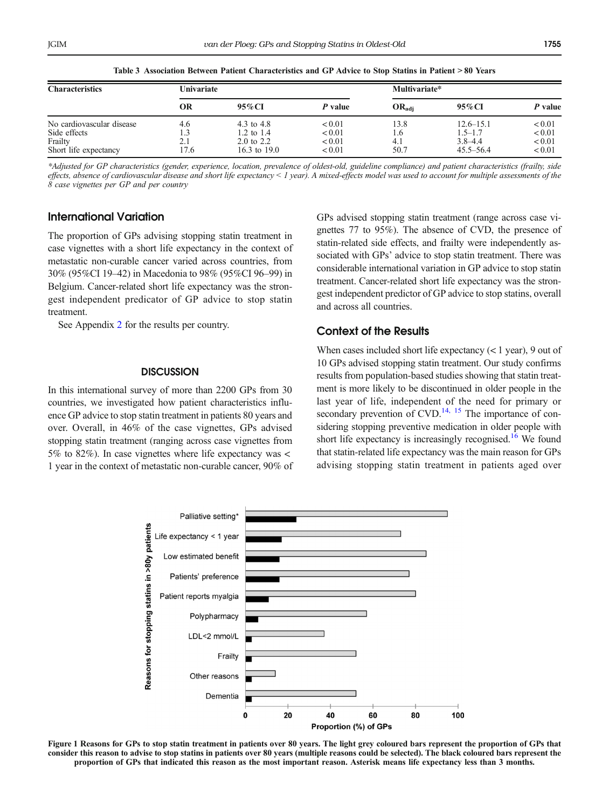<span id="page-4-0"></span>

| Table 3. Association Detween I attent Characteristics and Gr. Auvice to Stop Statins in I attent < 60. Icars |            |                       |             |                   |               |             |  |  |  |
|--------------------------------------------------------------------------------------------------------------|------------|-----------------------|-------------|-------------------|---------------|-------------|--|--|--|
| <b>Characteristics</b>                                                                                       | Univariate |                       |             | Multivariate*     |               |             |  |  |  |
|                                                                                                              | OR         | $95\%$ CI             | P value     | $OR_{\text{adi}}$ | 95% CI        | P value     |  |  |  |
| No cardiovascular disease                                                                                    | 4.6        | 4.3 to 4.8            | ${}_{0.01}$ | 13.8              | $12.6 - 15.1$ | < 0.01      |  |  |  |
| Side effects                                                                                                 |            | 1.2 to $1.4$          | ${}_{0.01}$ | 6.،               | $1.5 - 1.7$   | ${}_{0.01}$ |  |  |  |
| Frailty                                                                                                      | 2.1        | $2.0 \text{ to } 2.2$ | ${}_{0.01}$ | 4.1               | $3.8 - 4.4$   | ${}_{0.01}$ |  |  |  |
| Short life expectancy                                                                                        | 17.6       | 16.3 to $19.0$        | < 0.01      | 50.7              | $45.5 - 56.4$ | ${}_{0.01}$ |  |  |  |

 $T_{\text{ab}}$  3  $\alpha$  association Between Betient Characteristics and CB Advise to Stop Stating in Betient  $\geq 90$  Years

\*Adjusted for GP characteristics (gender, experience, location, prevalence of oldest-old, guideline compliance) and patient characteristics (frailty, side effects, absence of cardiovascular disease and short life expectancy < 1 year). A mixed-effects model was used to account for multiple assessments of the 8 case vignettes per GP and per country

# International Variation

The proportion of GPs advising stopping statin treatment in case vignettes with a short life expectancy in the context of metastatic non-curable cancer varied across countries, from 30% (95%CI 19–42) in Macedonia to 98% (95%CI 96–99) in Belgium. Cancer-related short life expectancy was the strongest independent predicator of GP advice to stop statin treatment.

See Appendix 2 for the results per country.

#### **DISCUSSION**

In this international survey of more than 2200 GPs from 30 countries, we investigated how patient characteristics influence GP advice to stop statin treatment in patients 80 years and over. Overall, in 46% of the case vignettes, GPs advised stopping statin treatment (ranging across case vignettes from 5% to 82%). In case vignettes where life expectancy was < 1 year in the context of metastatic non-curable cancer, 90% of GPs advised stopping statin treatment (range across case vignettes 77 to 95%). The absence of CVD, the presence of statin-related side effects, and frailty were independently associated with GPs' advice to stop statin treatment. There was considerable international variation in GP advice to stop statin treatment. Cancer-related short life expectancy was the strongest independent predictor of GP advice to stop statins, overall and across all countries.

# Context of the Results

When cases included short life expectancy  $(< 1$  year), 9 out of 10 GPs advised stopping statin treatment. Our study confirms results from population-based studies showing that statin treatment is more likely to be discontinued in older people in the last year of life, independent of the need for primary or secondary prevention of  $CVD$ .<sup>[14](#page-6-0), [15](#page-6-0)</sup> The importance of considering stopping preventive medication in older people with short life expectancy is increasingly recognised.<sup>16</sup> We found that statin-related life expectancy was the main reason for GPs advising stopping statin treatment in patients aged over



Figure 1 Reasons for GPs to stop statin treatment in patients over 80 years. The light grey coloured bars represent the proportion of GPs that consider this reason to advise to stop statins in patients over 80 years (multiple reasons could be selected). The black coloured bars represent the proportion of GPs that indicated this reason as the most important reason. Asterisk means life expectancy less than 3 months.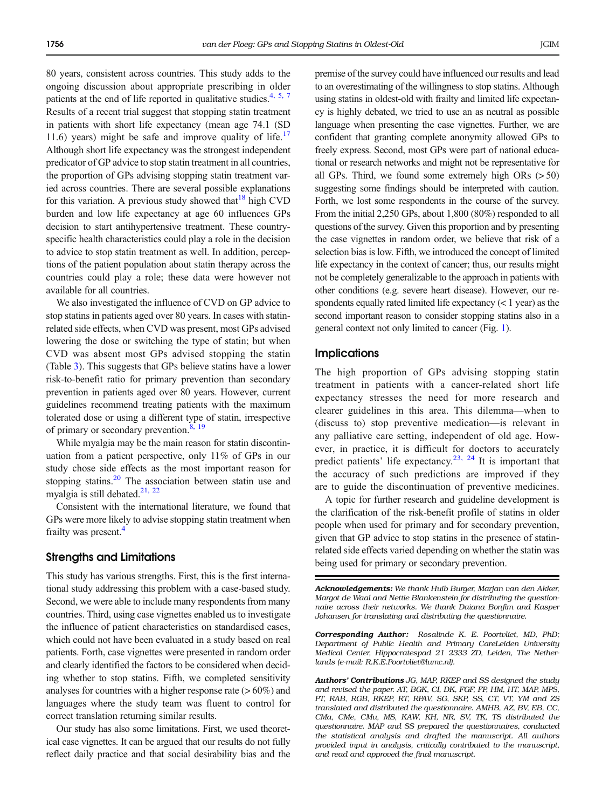80 years, consistent across countries. This study adds to the ongoing discussion about appropriate prescribing in older patients at the end of life reported in qualitative studies. $4, 5, 7$  $4, 5, 7$  $4, 5, 7$ Results of a recent trial suggest that stopping statin treatment in patients with short life expectancy (mean age 74.1 (SD 11.6) years) might be safe and improve quality of life.<sup>[17](#page-6-0)</sup> Although short life expectancy was the strongest independent predicator of GP advice to stop statin treatment in all countries, the proportion of GPs advising stopping statin treatment varied across countries. There are several possible explanations for this variation. A previous study showed that  $18$  high CVD burden and low life expectancy at age 60 influences GPs decision to start antihypertensive treatment. These countryspecific health characteristics could play a role in the decision to advice to stop statin treatment as well. In addition, perceptions of the patient population about statin therapy across the countries could play a role; these data were however not available for all countries.

We also investigated the influence of CVD on GP advice to stop statins in patients aged over 80 years. In cases with statinrelated side effects, when CVD was present, most GPs advised lowering the dose or switching the type of statin; but when CVD was absent most GPs advised stopping the statin (Table [3](#page-4-0)). This suggests that GPs believe statins have a lower risk-to-benefit ratio for primary prevention than secondary prevention in patients aged over 80 years. However, current guidelines recommend treating patients with the maximum tolerated dose or using a different type of statin, irrespective of primary or secondary prevention.<sup>8, 19</sup>

While myalgia may be the main reason for statin discontinuation from a patient perspective, only 11% of GPs in our study chose side effects as the most important reason for stopping statins. $20$  The association between statin use and myalgia is still debated.<sup>21, 22</sup>

Consistent with the international literature, we found that GPs were more likely to advise stopping statin treatment when frailty was present.<sup>4</sup>

## Strengths and Limitations

This study has various strengths. First, this is the first international study addressing this problem with a case-based study. Second, we were able to include many respondents from many countries. Third, using case vignettes enabled us to investigate the influence of patient characteristics on standardised cases, which could not have been evaluated in a study based on real patients. Forth, case vignettes were presented in random order and clearly identified the factors to be considered when deciding whether to stop statins. Fifth, we completed sensitivity analyses for countries with a higher response rate  $(> 60\%)$  and languages where the study team was fluent to control for correct translation returning similar results.

Our study has also some limitations. First, we used theoretical case vignettes. It can be argued that our results do not fully reflect daily practice and that social desirability bias and the premise of the survey could have influenced our results and lead to an overestimating of the willingness to stop statins. Although using statins in oldest-old with frailty and limited life expectancy is highly debated, we tried to use an as neutral as possible language when presenting the case vignettes. Further, we are confident that granting complete anonymity allowed GPs to freely express. Second, most GPs were part of national educational or research networks and might not be representative for all GPs. Third, we found some extremely high ORs  $(> 50)$ suggesting some findings should be interpreted with caution. Forth, we lost some respondents in the course of the survey. From the initial 2,250 GPs, about 1,800 (80%) responded to all questions of the survey. Given this proportion and by presenting the case vignettes in random order, we believe that risk of a selection bias is low. Fifth, we introduced the concept of limited life expectancy in the context of cancer; thus, our results might not be completely generalizable to the approach in patients with other conditions (e.g. severe heart disease). However, our respondents equally rated limited life expectancy  $(< 1$  year) as the second important reason to consider stopping statins also in a general context not only limited to cancer (Fig. [1\)](#page-4-0).

#### **Implications**

The high proportion of GPs advising stopping statin treatment in patients with a cancer-related short life expectancy stresses the need for more research and clearer guidelines in this area. This dilemma—when to (discuss to) stop preventive medication—is relevant in any palliative care setting, independent of old age. However, in practice, it is difficult for doctors to accurately predict patients' life expectancy.<sup>[23](#page-6-0), [24](#page-6-0)</sup> It is important that the accuracy of such predictions are improved if they are to guide the discontinuation of preventive medicines.

A topic for further research and guideline development is the clarification of the risk-benefit profile of statins in older people when used for primary and for secondary prevention, given that GP advice to stop statins in the presence of statinrelated side effects varied depending on whether the statin was being used for primary or secondary prevention.

Acknowledgements: We thank Huib Burger, Marjan van den Akker, Margot de Waal and Nettie Blankenstein for distributing the questionnaire across their networks. We thank Daiana Bonfim and Kasper Johansen for translating and distributing the questionnaire.

Corresponding Author: Rosalinde K. E. Poortvliet, MD, PhD; Department of Public Health and Primary CareLeiden University Medical Center, Hippocratespad 21 2333 ZD, Leiden, The Netherlands (e-mail: R.K.E.Poortvliet@lumc.nl).

Authors' Contributions JG, MAP, RKEP and SS designed the study and revised the paper. AT, BGK, CI, DK, FGF, FP, HM, HT, MAP, MPS, PT, RAB, RGB, RKEP, RT, RPAV, SG, SKP, SS, CT, VT, YM and ZS translated and distributed the questionnaire. AMHB, AZ, BV, EB, CC, CMa, CMe, CMu, MS, KAW, KH, NR, SV, TK, TS distributed the questionnaire. MAP and SS prepared the questionnaires, conducted the statistical analysis and drafted the manuscript. All authors provided input in analysis, critically contributed to the manuscript, and read and approved the final manuscript.